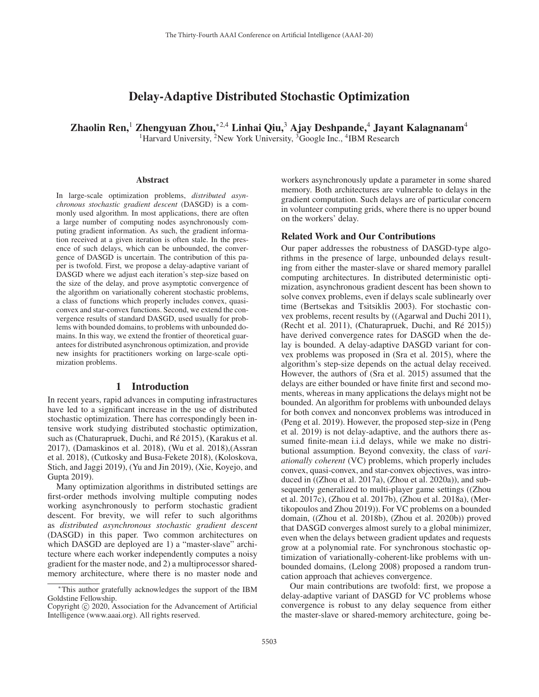# Delay-Adaptive Distributed Stochastic Optimization

Zhaolin Ren,<sup>1</sup> Zhengyuan Zhou,<sup>∗2,4</sup> Linhai Qiu,<sup>3</sup> Ajay Deshpande,<sup>4</sup> Jayant Kalagnanam<sup>4</sup> <sup>1</sup>Harvard University, <sup>2</sup>New York University, <sup>3</sup>Google Inc., <sup>4</sup>IBM Research

#### Abstract

In large-scale optimization problems, *distributed asynchronous stochastic gradient descent* (DASGD) is a commonly used algorithm. In most applications, there are often a large number of computing nodes asynchronously computing gradient information. As such, the gradient information received at a given iteration is often stale. In the presence of such delays, which can be unbounded, the convergence of DASGD is uncertain. The contribution of this paper is twofold. First, we propose a delay-adaptive variant of DASGD where we adjust each iteration's step-size based on the size of the delay, and prove asymptotic convergence of the algorithm on variationally coherent stochastic problems, a class of functions which properly includes convex, quasiconvex and star-convex functions. Second, we extend the convergence results of standard DASGD, used usually for problems with bounded domains, to problems with unbounded domains. In this way, we extend the frontier of theoretical guarantees for distributed asynchronous optimization, and provide new insights for practitioners working on large-scale optimization problems.

# 1 Introduction

In recent years, rapid advances in computing infrastructures have led to a significant increase in the use of distributed stochastic optimization. There has correspondingly been intensive work studying distributed stochastic optimization, such as (Chaturapruek, Duchi, and Ré 2015), (Karakus et al. 2017), (Damaskinos et al. 2018), (Wu et al. 2018),(Assran et al. 2018), (Cutkosky and Busa-Fekete 2018), (Koloskova, Stich, and Jaggi 2019), (Yu and Jin 2019), (Xie, Koyejo, and Gupta 2019).

Many optimization algorithms in distributed settings are first-order methods involving multiple computing nodes working asynchronously to perform stochastic gradient descent. For brevity, we will refer to such algorithms as *distributed asynchronous stochastic gradient descent* (DASGD) in this paper. Two common architectures on which DASGD are deployed are 1) a "master-slave" architecture where each worker independently computes a noisy gradient for the master node, and 2) a multiprocessor sharedmemory architecture, where there is no master node and

workers asynchronously update a parameter in some shared memory. Both architectures are vulnerable to delays in the gradient computation. Such delays are of particular concern in volunteer computing grids, where there is no upper bound on the workers' delay.

#### Related Work and Our Contributions

Our paper addresses the robustness of DASGD-type algorithms in the presence of large, unbounded delays resulting from either the master-slave or shared memory parallel computing architectures. In distributed deterministic optimization, asynchronous gradient descent has been shown to solve convex problems, even if delays scale sublinearly over time (Bertsekas and Tsitsiklis 2003). For stochastic convex problems, recent results by ((Agarwal and Duchi 2011), (Recht et al. 2011), (Chaturapruek, Duchi, and  $Ré 2015$ )) have derived convergence rates for DASGD when the delay is bounded. A delay-adaptive DASGD variant for convex problems was proposed in (Sra et al. 2015), where the algorithm's step-size depends on the actual delay received. However, the authors of (Sra et al. 2015) assumed that the delays are either bounded or have finite first and second moments, whereas in many applications the delays might not be bounded. An algorithm for problems with unbounded delays for both convex and nonconvex problems was introduced in (Peng et al. 2019). However, the proposed step-size in (Peng et al. 2019) is not delay-adaptive, and the authors there assumed finite-mean i.i.d delays, while we make no distributional assumption. Beyond convexity, the class of *variationally coherent* (VC) problems, which properly includes convex, quasi-convex, and star-convex objectives, was introduced in ((Zhou et al. 2017a), (Zhou et al. 2020a)), and subsequently generalized to multi-player game settings ((Zhou et al. 2017c), (Zhou et al. 2017b), (Zhou et al. 2018a), (Mertikopoulos and Zhou 2019)). For VC problems on a bounded domain, ((Zhou et al. 2018b), (Zhou et al. 2020b)) proved that DASGD converges almost surely to a global minimizer, even when the delays between gradient updates and requests grow at a polynomial rate. For synchronous stochastic optimization of variationally-coherent-like problems with unbounded domains, (Lelong 2008) proposed a random truncation approach that achieves convergence.

Our main contributions are twofold: first, we propose a delay-adaptive variant of DASGD for VC problems whose convergence is robust to any delay sequence from either the master-slave or shared-memory architecture, going be-

<sup>∗</sup>This author gratefully acknowledges the support of the IBM Goldstine Fellowship.

Copyright  $\odot$  2020, Association for the Advancement of Artificial Intelligence (www.aaai.org). All rights reserved.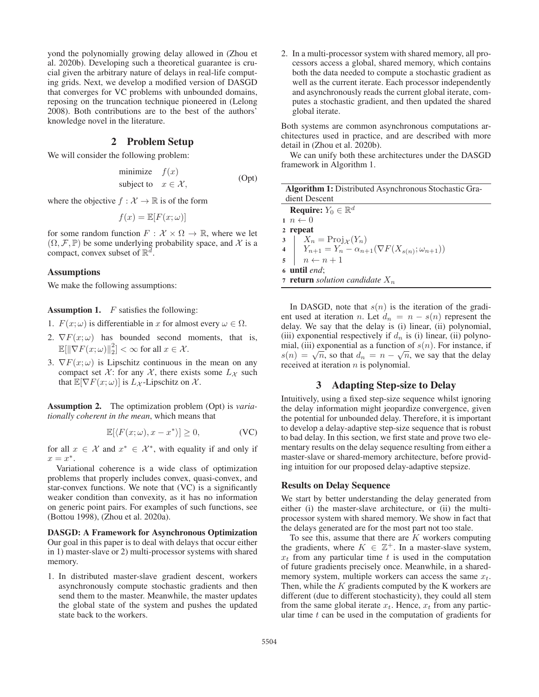yond the polynomially growing delay allowed in (Zhou et al. 2020b). Developing such a theoretical guarantee is crucial given the arbitrary nature of delays in real-life computing grids. Next, we develop a modified version of DASGD that converges for VC problems with unbounded domains, reposing on the truncation technique pioneered in (Lelong 2008). Both contributions are to the best of the authors' knowledge novel in the literature.

# 2 Problem Setup

We will consider the following problem:

$$
\begin{array}{ll}\text{minimize} & f(x) \\ \text{subject to} & x \in \mathcal{X}, \end{array} \tag{Opt}
$$

where the objective  $f : \mathcal{X} \to \mathbb{R}$  is of the form

$$
f(x) = \mathbb{E}[F(x; \omega)]
$$

for some random function  $F : \mathcal{X} \times \Omega \to \mathbb{R}$ , where we let  $(\Omega, \mathcal{F}, \mathbb{P})$  be some underlying probability space, and X is a compact, convex subset of  $\mathbb{R}^d$ .

#### Assumptions

We make the following assumptions:

**Assumption 1.**  $F$  satisfies the following:

- 1.  $F(x; \omega)$  is differentiable in x for almost every  $\omega \in \Omega$ .
- 2.  $\nabla F(x; \omega)$  has bounded second moments, that is,  $\mathbb{E}[\|\nabla F(x;\omega)\|_2^2] < \infty$  for all  $x \in \mathcal{X}$ .
- 3.  $\nabla F(x; \omega)$  is Lipschitz continuous in the mean on any compact set  $\mathcal{X}$ : for any  $\mathcal{X}$ , there exists some  $L_{\mathcal{X}}$  such that  $\mathbb{E}[\nabla F(x;\omega)]$  is  $L_{\mathcal{X}}$ -Lipschitz on  $\mathcal{X}$ .

Assumption 2. The optimization problem (Opt) is *variationally coherent in the mean*, which means that

$$
\mathbb{E}[\langle F(x;\omega), x - x^* \rangle] \ge 0, \tag{VC}
$$

for all  $x \in \mathcal{X}$  and  $x^* \in \mathcal{X}^*$ , with equality if and only if  $x = x^*$ .

Variational coherence is a wide class of optimization problems that properly includes convex, quasi-convex, and star-convex functions. We note that (VC) is a significantly weaker condition than convexity, as it has no information on generic point pairs. For examples of such functions, see (Bottou 1998), (Zhou et al. 2020a).

DASGD: A Framework for Asynchronous Optimization Our goal in this paper is to deal with delays that occur either in 1) master-slave or 2) multi-processor systems with shared memory.

1. In distributed master-slave gradient descent, workers asynchronously compute stochastic gradients and then send them to the master. Meanwhile, the master updates the global state of the system and pushes the updated state back to the workers.

2. In a multi-processor system with shared memory, all processors access a global, shared memory, which contains both the data needed to compute a stochastic gradient as well as the current iterate. Each processor independently and asynchronously reads the current global iterate, computes a stochastic gradient, and then updated the shared global iterate.

Both systems are common asynchronous computations architectures used in practice, and are described with more detail in (Zhou et al. 2020b).

We can unify both these architectures under the DASGD framework in Algorithm 1.

| <b>Algorithm 1:</b> Distributed Asynchronous Stochastic Gra- |                                                                                                                                                          |  |  |  |  |
|--------------------------------------------------------------|----------------------------------------------------------------------------------------------------------------------------------------------------------|--|--|--|--|
|                                                              | dient Descent                                                                                                                                            |  |  |  |  |
|                                                              | <b>Require:</b> $Y_0 \in \mathbb{R}^d$                                                                                                                   |  |  |  |  |
|                                                              | $n \leftarrow 0$                                                                                                                                         |  |  |  |  |
|                                                              | 2 repeat                                                                                                                                                 |  |  |  |  |
|                                                              |                                                                                                                                                          |  |  |  |  |
|                                                              | 3 $\begin{cases} X_n = \text{Proj}_{\mathcal{X}}(Y_n) \\ Y_{n+1} = Y_n - \alpha_{n+1}(\nabla F(X_{s(n)}; \omega_{n+1})) \\ n \leftarrow n+1 \end{cases}$ |  |  |  |  |
|                                                              |                                                                                                                                                          |  |  |  |  |
|                                                              | $6$ until end;                                                                                                                                           |  |  |  |  |
|                                                              | <b>7</b> return solution candidate $X_n$                                                                                                                 |  |  |  |  |
|                                                              |                                                                                                                                                          |  |  |  |  |

In DASGD, note that  $s(n)$  is the iteration of the gradient used at iteration n. Let  $d_n = n - s(n)$  represent the delay. We say that the delay is (i) linear, (ii) polynomial, (iii) exponential respectively if  $d_n$  is (i) linear, (ii) polynomial, (iii) exponential as a function of  $s(n)$ . For instance, if  $s(n) = \sqrt{n}$ , so that  $d_n = n - \sqrt{n}$ , we say that the delay received at iteration  $n$  is polynomial.

#### 3 Adapting Step-size to Delay

Intuitively, using a fixed step-size sequence whilst ignoring the delay information might jeopardize convergence, given the potential for unbounded delay. Therefore, it is important to develop a delay-adaptive step-size sequence that is robust to bad delay. In this section, we first state and prove two elementary results on the delay sequence resulting from either a master-slave or shared-memory architecture, before providing intuition for our proposed delay-adaptive stepsize.

### Results on Delay Sequence

We start by better understanding the delay generated from either (i) the master-slave architecture, or (ii) the multiprocessor system with shared memory. We show in fact that the delays generated are for the most part not too stale.

To see this, assume that there are  $K$  workers computing the gradients, where  $K \in \mathbb{Z}^+$ . In a master-slave system,  $x_t$  from any particular time t is used in the computation of future gradients precisely once. Meanwhile, in a sharedmemory system, multiple workers can access the same  $x_t$ . Then, while the  $K$  gradients computed by the K workers are different (due to different stochasticity), they could all stem from the same global iterate  $x_t$ . Hence,  $x_t$  from any particular time  $t$  can be used in the computation of gradients for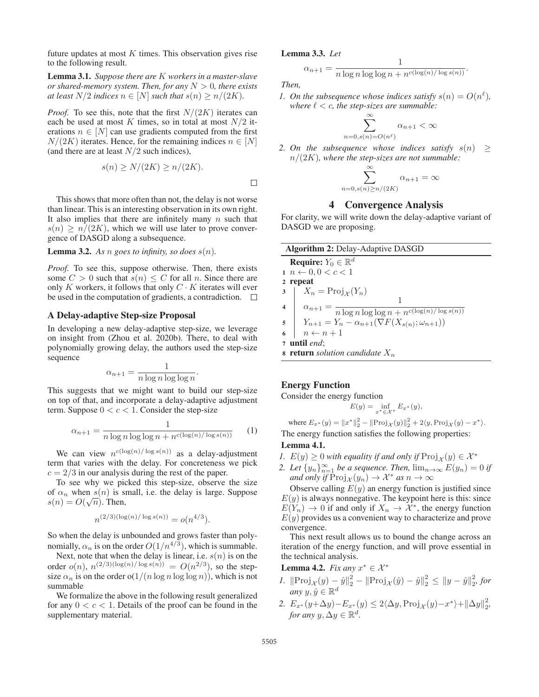future updates at most  $K$  times. This observation gives rise to the following result.

Lemma 3.1. *Suppose there are* K *workers in a master-slave or shared-memory system. Then, for any* N > 0*, there exists at least*  $N/2$  *indices*  $n \in [N]$  *such that*  $s(n) \geq n/(2K)$ *.* 

*Proof.* To see this, note that the first  $N/(2K)$  iterates can each be used at most K times, so in total at most  $N/2$  iterations  $n \in [N]$  can use gradients computed from the first  $N/(2K)$  iterates. Hence, for the remaining indices  $n \in [N]$ (and there are at least  $N/2$  such indices),

$$
s(n) \ge N/(2K) \ge n/(2K).
$$

This shows that more often than not, the delay is not worse than linear. This is an interesting observation in its own right. It also implies that there are infinitely many  $n$  such that  $s(n) \geq n/(2K)$ , which we will use later to prove convergence of DASGD along a subsequence.

# **Lemma 3.2.** As *n* goes to infinity, so does  $s(n)$ .

*Proof.* To see this, suppose otherwise. Then, there exists some  $C > 0$  such that  $s(n) \leq C$  for all n. Since there are only K workers, it follows that only  $C \cdot K$  iterates will ever be used in the computation of gradients, a contradiction.  $\square$ 

#### A Delay-adaptive Step-size Proposal

In developing a new delay-adaptive step-size, we leverage on insight from (Zhou et al. 2020b). There, to deal with polynomially growing delay, the authors used the step-size sequence

$$
\alpha_{n+1} = \frac{1}{n \log n \log \log n}.
$$

 $\alpha_{n+1} = \frac{1}{n \log n \log \log n}$ .<br>This suggests that we might want to build our step-size on top of that, and incorporate a delay-adaptive adjustment term. Suppose  $0 < c < 1$ . Consider the step-size

$$
\alpha_{n+1} = \frac{1}{n \log n \log \log n + n^{c(\log(n) / \log s(n))}}
$$
 (1)

We can view  $n^{c(\log(n)/\log s(n))}$  as a delay-adjustment term that varies with the delay. For concreteness we pick  $c = 2/3$  in our analysis during the rest of the paper.

To see why we picked this step-size, observe the size of  $\alpha_n$  when  $s(n)$  is small, i.e. the delay is large. Suppose of  $\alpha_n$  when  $s(n)$  is so<br> $s(n) = O(\sqrt{n})$ . Then,

$$
n^{(2/3)(\log(n)/\log s(n))} = o(n^{4/3}).
$$

So when the delay is unbounded and grows faster than polynomially,  $\alpha_n$  is on the order  $O(1/n^{4/3})$ , which is summable.

Next, note that when the delay is linear, i.e.  $s(n)$  is on the order  $o(n)$ ,  $n^{(2/3)(\log(n)/\log s(n))} = O(n^{2/3})$ , so the stepsize  $\alpha_n$  is on the order o(1/(n log n log log n)), which is not summable

We formalize the above in the following result generalized for any  $0 < c < 1$ . Details of the proof can be found in the supplementary material.

#### Lemma 3.3. *Let*

$$
\alpha_{n+1} = \frac{1}{n \log n \log \log n + n^{c(\log(n)/\log s(n))}}.
$$

*Then,*

 $\Box$ 

*1.* On the subsequence whose indices satisfy  $s(n) = O(n^{\ell})$ , where  $\ell < \epsilon$  the sten-sizes are summable: *where*  $\ell < c$ *, the step-sizes are summable:* 

$$
\sum_{s(n)=O(n^{\ell})}^{\infty} \alpha_{n+1} < \infty
$$

 $\mathbf{1}$ 

2. On the subsequence whose indices satisfy  $s(n) \ge n/(2K)$  where the step-sizes are not summable: n/(2K)*, where the step-sizes are not summable:*

 $n=0$ .

$$
\sum_{n=0,s(n)\ge n/(2K)}^{\infty} \alpha_{n+1} = \infty
$$

## 4 Convergence Analysis

For clarity, we will write down the delay-adaptive variant of DASGD we are proposing.

| <b>Algorithm 2: Delay-Adaptive DASGD</b>                                                                                                                                                 |  |  |  |  |  |  |
|------------------------------------------------------------------------------------------------------------------------------------------------------------------------------------------|--|--|--|--|--|--|
| <b>Require:</b> $Y_0 \in \mathbb{R}^d$                                                                                                                                                   |  |  |  |  |  |  |
| $1\,n \leftarrow 0, 0 < c < 1$                                                                                                                                                           |  |  |  |  |  |  |
| 2 repeat                                                                                                                                                                                 |  |  |  |  |  |  |
|                                                                                                                                                                                          |  |  |  |  |  |  |
|                                                                                                                                                                                          |  |  |  |  |  |  |
| 3<br>4<br>$\alpha_{n+1} = \frac{1}{n \log n \log \log n + n^{c(\log(n)/\log s(n))}}$<br>5<br>$Y_{n+1} = Y_n - \alpha_{n+1}(\nabla F(X_{s(n)}; \omega_{n+1}))$<br>6<br>$n \leftarrow n+1$ |  |  |  |  |  |  |
|                                                                                                                                                                                          |  |  |  |  |  |  |
|                                                                                                                                                                                          |  |  |  |  |  |  |
| 7 until end;                                                                                                                                                                             |  |  |  |  |  |  |
| <b>s</b> return solution candidate $X_n$                                                                                                                                                 |  |  |  |  |  |  |

#### Energy Function

Consider the energy function

$$
E(y) = \inf_{x^* \in \mathcal{X}^*} E_{x^*}(y),
$$

where  $E_{x^*}(y) = ||x^*||_2^2 - ||\text{Proj}_{\mathcal{X}}(y)||_2^2 + 2\langle y, \text{Proj}_{\mathcal{X}}(y) - x^* \rangle.$ The energy function satisfies the following properties:

## Lemma 4.1.

- *1.*  $E(y) \geq 0$  *with equality if and only if*  $\text{Proj}_{\mathcal{X}}(y) \in \mathcal{X}^*$
- 2. Let  $\{y_n\}_{n=1}^{\infty}$  *be a sequence. Then,*  $\lim_{n\to\infty} E(y_n)=0$  *if* and only *if*  $\text{Proj}_{\mathcal{U}}(y_n) \to \mathcal{X}^*$  as  $n \to \infty$ *and only if*  $\text{Proj}_{\mathcal{X}}(y_n) \to \mathcal{X}^*$  *as*  $n \to \infty$

Observe calling  $E(y)$  an energy function is justified since  $E(y)$  is always nonnegative. The keypoint here is this: since  $E(Y_n) \to 0$  if and only if  $X_n \to \mathcal{X}^*$ , the energy function  $E(y)$  provides us a convenient way to characterize and prove convergence.

This next result allows us to bound the change across an iteration of the energy function, and will prove essential in the technical analysis.

**Lemma 4.2.** *Fix any*  $x^* \in \mathcal{X}^*$ 

- *1.*  $\|\text{Proj}_{\mathcal{X}}(y) \hat{y}\|_2^2 \|\text{Proj}_{\mathcal{X}}(\hat{y}) \hat{y}\|_2^2 \le \|y \hat{y}\|_2^2$ , for *any*  $y, \hat{y} \in \mathbb{R}^d$
- 2.  $E_{x^*}(y+\Delta y)-E_{x^*}(y) \leq 2\langle \Delta y, \text{Proj}_{\mathcal{X}}(y)-x^* \rangle + ||\Delta y||_2^2,$ <br>for any  $y \Delta y \in \mathbb{R}^d$ *for any*  $y, \Delta y \in \mathbb{R}^d$ .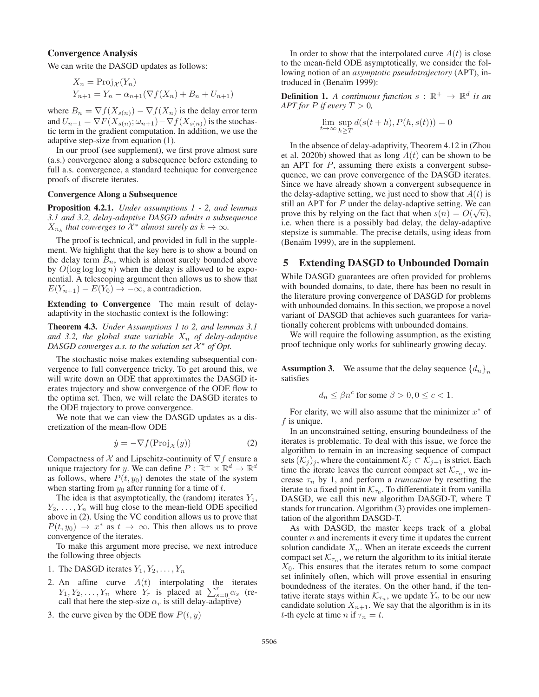#### Convergence Analysis

We can write the DASGD updates as follows:

$$
X_n = \text{Proj}_{\mathcal{X}}(Y_n)
$$
  

$$
Y_{n+1} = Y_n - \alpha_{n+1}(\nabla f(X_n) + B_n + U_{n+1})
$$

where  $B_n = \nabla f(X_{s(n)}) - \nabla f(X_n)$  is the delay error term and  $U_{n+1} = \nabla F(X_{s(n)}; \omega_{n+1}) - \nabla f(X_{s(n)})$  is the stochastic term in the gradient computation. In addition, we use the adaptive step-size from equation (1).

In our proof (see supplement), we first prove almost sure (a.s.) convergence along a subsequence before extending to full a.s. convergence, a standard technique for convergence proofs of discrete iterates.

#### Convergence Along a Subsequence

Proposition 4.2.1. *Under assumptions 1 - 2, and lemmas 3.1 and 3.2, delay-adaptive DASGD admits a subsequence*  $X_{n_k}$  *that converges to*  $\mathcal{X}^*$  *almost surely as*  $k \to \infty$ *.* 

The proof is technical, and provided in full in the supplement. We highlight that the key here is to show a bound on the delay term  $B_n$ , which is almost surely bounded above by  $O(\log \log \log n)$  when the delay is allowed to be exponential. A telescoping argument then allows us to show that  $E(Y_{n+1}) - E(Y_0) \rightarrow -\infty$ , a contradiction.

Extending to Convergence The main result of delayadaptivity in the stochastic context is the following:

Theorem 4.3. *Under Assumptions 1 to 2, and lemmas 3.1* and 3.2, the global state variable  $X_n$  of delay-adaptive *DASGD converges a.s. to the solution set*  $\mathcal{X}^*$  *of Opt.* 

The stochastic noise makes extending subsequential convergence to full convergence tricky. To get around this, we will write down an ODE that approximates the DASGD iterates trajectory and show convergence of the ODE flow to the optima set. Then, we will relate the DASGD iterates to the ODE trajectory to prove convergence.

We note that we can view the DASGD updates as a discretization of the mean-flow ODE

$$
\dot{y} = -\nabla f(\text{Proj}_{\mathcal{X}}(y))\tag{2}
$$

Compactness of  $X$  and Lipschitz-continuity of  $\nabla f$  ensure a unique trajectory for y. We can define  $P : \mathbb{R}^+ \times \mathbb{R}^d \to \mathbb{R}^d$ as follows, where  $P(t, y_0)$  denotes the state of the system when starting from  $y_0$  after running for a time of t.

The idea is that asymptotically, the (random) iterates  $Y_1$ ,  $Y_2, \ldots, Y_n$  will hug close to the mean-field ODE specified above in (2). Using the VC condition allows us to prove that  $P(t, y_0) \rightarrow x^*$  as  $t \rightarrow \infty$ . This then allows us to prove convergence of the iterates.

To make this argument more precise, we next introduce the following three objects

- 1. The DASGD iterates  $Y_1, Y_2, \ldots, Y_n$
- 2. An affine curve  $A(t)$  interpolating the iterates  $Y_1, Y_2, \ldots, Y_n$  where  $Y_r$  is placed at  $\sum_{s=0}^r \alpha_s$  (re-<br>call that here the sten-size  $\alpha_s$  is still delay-adaptive) call that here the step-size  $\alpha_r$  is still delay-adaptive)
- 3. the curve given by the ODE flow  $P(t, y)$

In order to show that the interpolated curve  $A(t)$  is close to the mean-field ODE asymptotically, we consider the following notion of an *asymptotic pseudotrajectory* (APT), introduced in (Benaïm 1999):

**Definition 1.** *A continuous function*  $s : \mathbb{R}^+ \to \mathbb{R}^d$  *is an APT for P if every*  $T > 0$ *,* 

$$
\lim_{t \to \infty} \sup_{h \ge T} d(s(t+h), P(h, s(t))) = 0
$$

In the absence of delay-adaptivity, Theorem 4.12 in (Zhou et al. 2020b) showed that as long  $A(t)$  can be shown to be an APT for  $P$ , assuming there exists a convergent subsequence, we can prove convergence of the DASGD iterates. Since we have already shown a convergent subsequence in the delay-adaptive setting, we just need to show that  $A(t)$  is still an APT for P under the delay-adaptive setting. We can suit an APT for P under the detay-adaptive setting. We can<br>prove this by relying on the fact that when  $s(n) = O(\sqrt{n})$ ,<br>i.e. when there is a possibly bad delay the delay-adaptive i.e. when there is a possibly bad delay, the delay-adaptive stepsize is summable. The precise details, using ideas from (Benaïm 1999), are in the supplement.

# 5 Extending DASGD to Unbounded Domain

While DASGD guarantees are often provided for problems with bounded domains, to date, there has been no result in the literature proving convergence of DASGD for problems with unbounded domains. In this section, we propose a novel variant of DASGD that achieves such guarantees for variationally coherent problems with unbounded domains.

We will require the following assumption, as the existing proof technique only works for sublinearly growing decay.

**Assumption 3.** We assume that the delay sequence  $\{d_n\}_n$ satisfies

$$
d_n \le \beta n^c \text{ for some } \beta > 0, 0 \le c < 1.
$$

For clarity, we will also assume that the minimizer  $x^*$  of  $f$  is unique.

In an unconstrained setting, ensuring boundedness of the iterates is problematic. To deal with this issue, we force the algorithm to remain in an increasing sequence of compact sets  $(\mathcal{K}_j)_j$ , where the containment  $\mathcal{K}_j \subset \mathcal{K}_{j+1}$  is strict. Each time the iterate leaves the current compact set  $\mathcal{K}_{\tau_n}$ , we increase  $\tau_n$  by 1, and perform a *truncation* by resetting the iterate to a fixed point in  $K_{\tau_0}$ . To differentiate it from vanilla DASGD, we call this new algorithm DASGD-T, where T stands for truncation. Algorithm (3) provides one implementation of the algorithm DASGD-T.

As with DASGD, the master keeps track of a global counter  $n$  and increments it every time it updates the current solution candidate  $X_n$ . When an iterate exceeds the current compact set  $\mathcal{K}_{\tau_n}$ , we return the algorithm to its initial iterate  $X_0$ . This ensures that the iterates return to some compact set infinitely often, which will prove essential in ensuring boundedness of the iterates. On the other hand, if the tentative iterate stays within  $\mathcal{K}_{\tau_n}$ , we update  $Y_n$  to be our new candidate solution  $X_{n+1}$ . We say that the algorithm is in its t-th cycle at time *n* if  $\tau_n = t$ .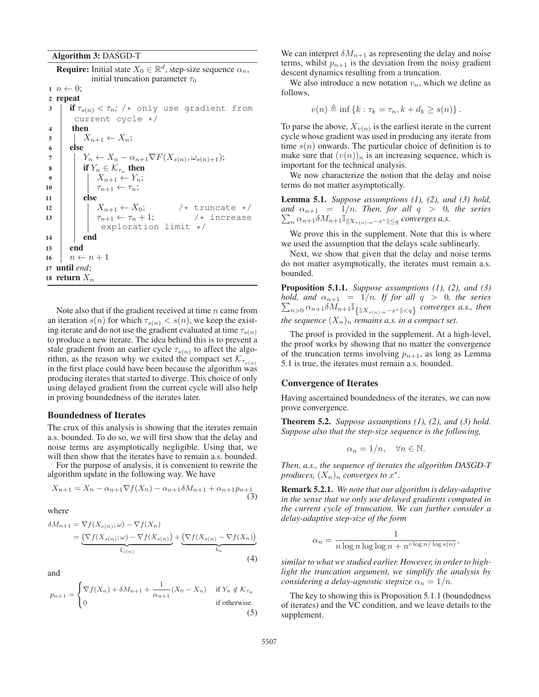Algorithm 3: DASGD-T

**Require:** Initial state  $X_0 \in \mathbb{R}^d$ , step-size sequence  $\alpha_n$ , initial truncation parameter  $\tau_0$  $n \leftarrow 0$ ; 2 repeat  $3$  **if**  $\tau_{s(n)} < \tau_n$ ; /\* only use gradient from current cycle \*/ 4 then  $\begin{array}{c|c}\n5 & X_{n+1} \leftarrow X_n; \\
\hline\n6 & else\n\end{array}$ 6 else 7  $\begin{array}{|c|c|} \hline \mathbf{7} & X_n - \alpha_{n+1} \nabla F(X_{s(n)}, \omega_{s(n)+1}); \\\hline \mathbf{8} & \text{if } Y_n \in \mathcal{K}_{\tau} \text{ then} \hline \end{array}$ if  $Y_n \in \mathcal{K}_{\tau_n}$  then 9  $\begin{array}{|c|c|c|c|}\n\hline\n9 & 10 & \pi_{n+1} < \tau_n;\n\end{array}$ 10  $\tau_{n+1} \leftarrow \tau_n;$ <br>11 else else 12  $\begin{array}{|c|c|c|c|}\n\hline\n12 & X_{n+1} \leftarrow X_0; & \text{/* truncate } \star/\n\hline\n13 & \pi_{n+1} \leftarrow \tau_n + 1; & \text{/* increase}\n\hline\n\end{array}$ 13  $\begin{array}{|c|c|c|c|}\n\hline\n\end{array}$   $\begin{array}{c} \tau_{n+1} \leftarrow \tau_n + 1; & \text{({$\star$})} \text{ increase} \\\text{exploration limit } \star/ & \text{ } \end{array}$ 14 **end** <sup>15</sup> end 16  $n \leftarrow n + 1$ <sup>17</sup> until *end*; 18 return  $X_n$ 

Note also that if the gradient received at time  $n$  came from an iteration  $s(n)$  for which  $\tau_{s(n)} < s(n)$ , we keep the existing iterate and do not use the gradient evaluated at time  $\tau_{s(n)}$ to produce a new iterate. The idea behind this is to prevent a stale gradient from an earlier cycle  $\tau_{s(n)}$  to affect the algorithm, as the reason why we exited the compact set  $\mathcal{K}_{\tau_{s(n)}}$ in the first place could have been because the algorithm was producing iterates that started to diverge. This choice of only using delayed gradient from the current cycle will also help in proving boundedness of the iterates later.

#### Boundedness of Iterates

The crux of this analysis is showing that the iterates remain a.s. bounded. To do so, we will first show that the delay and noise terms are asymptotically negligible. Using that, we will then show that the iterates have to remain a.s. bounded.

For the purpose of analysis, it is convenient to rewrite the algorithm update in the following way. We have

$$
X_{n+1} = X_n - \alpha_{n+1} \nabla f(X_n) - \alpha_{n+1} \delta M_{n+1} + \alpha_{n+1} p_{n+1}
$$
\n(3)

where

$$
\delta M_{n+1} = \nabla f(X_{s(n)}; \omega) - \nabla f(X_n)
$$
  
= 
$$
\underbrace{\left(\nabla f(X_{s(n)}; \omega) - \nabla f(X_{s(n)})\right)}_{\xi_{s(n)}} + \underbrace{\left(\nabla f(X_{s(n)} - \nabla f(X_n))\right)}_{b_n}
$$
 (4)

and

$$
p_{n+1} = \begin{cases} \nabla f(X_n) + \delta M_{n+1} + \frac{1}{\alpha_{n+1}} (X_0 - X_n) & \text{if } Y_n \notin \mathcal{K}_{\tau_n} \\ 0 & \text{if otherwise.} \end{cases} \tag{5}
$$

We can interpret  $\delta M_{n+1}$  as representing the delay and noise terms, whilst  $p_{n+1}$  is the deviation from the noisy gradient descent dynamics resulting from a truncation.

We also introduce a new notation  $v_n$ , which we define as follows,

$$
v(n) \triangleq \inf \{k : \tau_k = \tau_n, k + d_k \geq s(n)\}.
$$

To parse the above,  $X_{v(n)}$  is the earliest iterate in the current cycle whose gradient was used in producing any iterate from time  $s(n)$  onwards. The particular choice of definition is to make sure that  $(v(n))_n$  is an increasing sequence, which is important for the technical analysis.

We now characterize the notion that the delay and noise terms do not matter asymptotically.

Lemma 5.1. *Suppose assumptions (1), (2), and (3) hold, and*  $\alpha_{n+1} = 1/n$ *. Then, for all*  $q > 0$ *, the series*<br>  $\sum_{n=1}^{\infty} \alpha_{n+1} \delta M_{n+1} \mathbb{I}_{\mathbb{I},X}$  $\sum_{n} \alpha_{n+1} \delta M_{n+1} \mathbb{I}_{\|X_{v(n):n}-x^*\| \leq q}$  converges a.s.

We prove this in the supplement. Note that this is where we used the assumption that the delays scale sublinearly.

Next, we show that given that the delay and noise terms do not matter asymptotically, the iterates must remain a.s. bounded.

Proposition 5.1.1. *Suppose assumptions (1), (2), and (3)*  $\sum_{n>0} \alpha_{n+1} \delta M_{n+1} \mathbb{I}_{\{|X_{v(n):n}-x^*\| *converges a.s., then*$ *hold, and*  $\alpha_{n+1} = 1/n$ *. If for all*  $q > 0$ *, the series the sequence*  $(X_n)_n$  *remains a.s. in a compact set.* 

The proof is provided in the supplement. At a high-level, the proof works by showing that no matter the convergence of the truncation terms involving  $p_{n+1}$ , as long as Lemma 5.1 is true, the iterates must remain a.s. bounded.

#### Convergence of Iterates

Having ascertained boundedness of the iterates, we can now prove convergence.

Theorem 5.2. *Suppose assumptions (1), (2), and (3) hold. Suppose also that the step-size sequence is the following,*

$$
\alpha_n = 1/n, \quad \forall n \in \mathbb{N}.
$$

*Then, a.s., the sequence of iterates the algorithm DASGD-T produces,*  $(X_n)_n$  *converges to*  $x^*$ *.* 

Remark 5.2.1. *We note that our algorithm is delay-adaptive in the sense that we only use delayed gradients computed in the current cycle of truncation. We can further consider a delay-adaptive step-size of the form*

$$
\alpha_n = \frac{1}{n \log n \log \log n + n^{c \log n / \log s(n)}},
$$

*similar to what we studied earlier. However, in order to highlight the truncation argument, we simplify the analysis by considering a delay-agnostic stepsize*  $\alpha_n = 1/n$ .

The key to showing this is Proposition 5.1.1 (boundedness of iterates) and the VC condition, and we leave details to the supplement.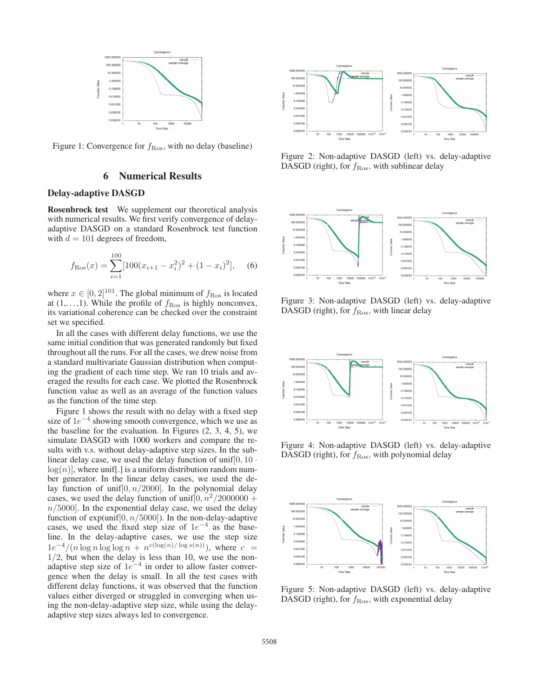

Figure 1: Convergence for  $f_{\rm Ros}$ , with no delay (baseline)

# 6 Numerical Results

# Delay-adaptive DASGD

Rosenbrock test We supplement our theoretical analysis with numerical results. We first verify convergence of delayadaptive DASGD on a standard Rosenbrock test function with  $d = 101$  degrees of freedom,

$$
f_{\text{Ros}}(x) = \sum_{i=1}^{100} [100(x_{i+1} - x_i^2)^2 + (1 - x_i)^2],
$$
 (6)

where  $x \in [0, 2]^{101}$ . The global minimum of  $f_{\text{Ros}}$  is located at  $(1, \ldots, 1)$ . While the profile of  $f_{\text{Ros}}$  is highly nonconvex, its variational coherence can be checked over the constraint set we specified.

In all the cases with different delay functions, we use the same initial condition that was generated randomly but fixed throughout all the runs. For all the cases, we drew noise from a standard multivariate Gaussian distribution when computing the gradient of each time step. We ran 10 trials and averaged the results for each case. We plotted the Rosenbrock function value as well as an average of the function values as the function of the time step.

Figure 1 shows the result with no delay with a fixed step size of  $1e^{-4}$  showing smooth convergence, which we use as the baseline for the evaluation. In Figures (2, 3, 4, 5), we simulate DASGD with 1000 workers and compare the results with v.s. without delay-adaptive step sizes. In the sublinear delay case, we used the delay function of unif  $[0, 10 \cdot$  $log(n)$ , where unif. is a uniform distribution random number generator. In the linear delay cases, we used the delay function of unif $[0, n/2000]$ . In the polynomial delay cases, we used the delay function of unif  $[0, n^2/2000000 +$  $n/5000$ . In the exponential delay case, we used the delay function of  $exp(unif[0, n/5000])$ . In the non-delay-adaptive cases, we used the fixed step size of  $1e^{-4}$  as the baseline. In the delay-adaptive cases, we use the step size  $1e^{-4}/(n \log n \log \log n + n^{c(\log(n)/\log s(n))})$ , where  $c =$ <br>1/2 but when the delay is less than 10 we use the non- $1/2$ , but when the delay is less than 10, we use the non-<br>adaptive step size of  $1e^{-4}$  in order to allow faster converadaptive step size of  $1e^{-4}$  in order to allow faster conver-<br>gence when the delay is small. In all the test cases with gence when the delay is small. In all the test cases with different delay functions, it was observed that the function values either diverged or struggled in converging when using the non-delay-adaptive step size, while using the delayadaptive step sizes always led to convergence.



Figure 2: Non-adaptive DASGD (left) vs. delay-adaptive DASGD (right), for  $f_{\rm Ros}$ , with sublinear delay



Figure 3: Non-adaptive DASGD (left) vs. delay-adaptive DASGD (right), for  $f_{\rm Ros}$ , with linear delay



Figure 4: Non-adaptive DASGD (left) vs. delay-adaptive DASGD (right), for  $f_{\rm Ros}$ , with polynomial delay



Figure 5: Non-adaptive DASGD (left) vs. delay-adaptive DASGD (right), for  $f_{\rm Ros}$ , with exponential delay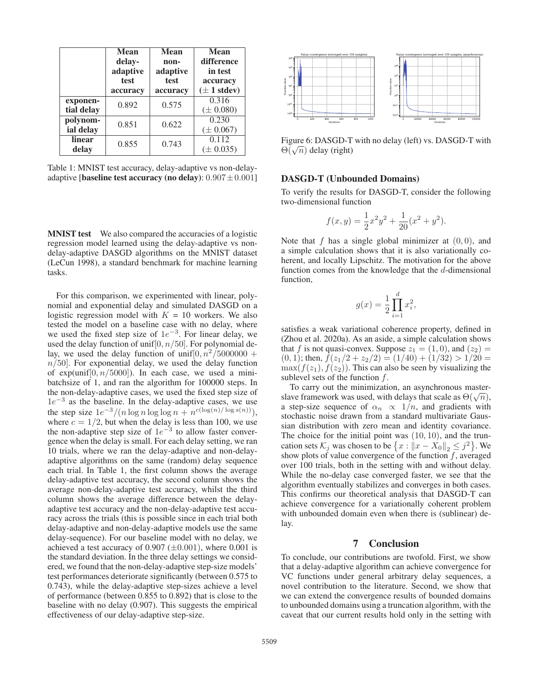|                        | <b>Mean</b><br>delay-<br>adaptive<br>test<br>accuracy | <b>Mean</b><br>non-<br>adaptive<br>test<br>accuracy | <b>Mean</b><br>difference<br>in test<br>accuracy<br>$(\pm 1$ stdev) |
|------------------------|-------------------------------------------------------|-----------------------------------------------------|---------------------------------------------------------------------|
| exponen-<br>tial delay | 0.892                                                 | 0.575                                               | 0.316<br>$(\pm 0.080)$                                              |
| polynom-<br>ial delay  | 0.851                                                 | 0.622                                               | 0.230<br>$(\pm 0.067)$                                              |
| linear<br>delay        | 0.855                                                 | 0.743                                               | 0.112<br>$(\pm 0.035)$                                              |

Table 1: MNIST test accuracy, delay-adaptive vs non-delayadaptive [baseline test accuracy (no delay):  $0.907 \pm 0.001$ ]

**MNIST test** We also compared the accuracies of a logistic regression model learned using the delay-adaptive vs nondelay-adaptive DASGD algorithms on the MNIST dataset (LeCun 1998), a standard benchmark for machine learning tasks.

For this comparison, we experimented with linear, polynomial and exponential delay and simulated DASGD on a logistic regression model with  $K = 10$  workers. We also tested the model on a baseline case with no delay, where we used the fixed step size of  $1e^{-3}$ . For linear delay, we used the delay function of unif  $[0, n/50]$ . For polynomial deused the delay function of unif [0,  $n/50$ ]. For polynomial de-<br>lay we used the delay function of unif  $\left(0, n^2/5000000 + \right)$ lay, we used the delay function of unif $[0, n^2/5000000 +$  $n/50$ . For exponential delay, we used the delay function of  $exp(unif[0, n/5000])$ . In each case, we used a minibatchsize of 1, and ran the algorithm for 100000 steps. In the non-delay-adaptive cases, we used the fixed step size of  $1e^{-3}$  as the baseline. In the delay-adaptive cases, we use the step size  $1e^{-3}/(n \log n \log \log n + n^{c(\log(n)/\log s(n))})$ ,<br>where  $c = 1/2$ , but when the delay is less than 100, we use where  $c = 1/2$ , but when the delay is less than 100, we use<br>the non-adaptive step size of  $1e^{-3}$  to allow faster converthe non-adaptive step size of  $1e^{-3}$  to allow faster conver-<br>gence when the delay is small. For each delay setting we ran gence when the delay is small. For each delay setting, we ran 10 trials, where we ran the delay-adaptive and non-delayadaptive algorithms on the same (random) delay sequence each trial. In Table 1, the first column shows the average delay-adaptive test accuracy, the second column shows the average non-delay-adaptive test accuracy, whilst the third column shows the average difference between the delayadaptive test accuracy and the non-delay-adaptive test accuracy across the trials (this is possible since in each trial both delay-adaptive and non-delay-adaptive models use the same delay-sequence). For our baseline model with no delay, we achieved a test accuracy of  $0.907 \ (\pm 0.001)$ , where  $0.001$  is the standard deviation. In the three delay settings we considered, we found that the non-delay-adaptive step-size models' test performances deteriorate significantly (between 0.575 to 0.743), while the delay-adaptive step-sizes achieve a level of performance (between 0.855 to 0.892) that is close to the baseline with no delay (0.907). This suggests the empirical effectiveness of our delay-adaptive step-size.



Figure 6: DASGD-T with no delay (left) vs. DASGD-T with  $\Theta(\sqrt{n})$  delay (right)

# DASGD-T (Unbounded Domains)

To verify the results for DASGD-T, consider the following two-dimensional function

$$
f(x,y) = \frac{1}{2}x^2y^2 + \frac{1}{20}(x^2 + y^2).
$$

Note that f has a single global minimizer at  $(0, 0)$ , and<br>a simple calculation shows that it is also variationally coa simple calculation shows that it is also variationally coherent, and locally Lipschitz. The motivation for the above function comes from the knowledge that the d-dimensional function,

$$
g(x) = \frac{1}{2} \prod_{i=1}^{d} x_i^2,
$$

satisfies a weak variational coherence property, defined in (Zhou et al. 2020a). As an aside, a simple calculation shows that f is not quasi-convex. Suppose  $z_1 = (1, 0)$ , and  $(z_2) =$  $(0, 1)$ ; then,  $\bar{f}(z_1/2 + z_2/2) = (1/40) + (1/32) > 1/20 =$  $\max(f(z_1), f(z_2))$ . This can also be seen by visualizing the sublevel sets of the function  $f$ .

To carry out the minimization, an asynchronous masterslave framework was used, with delays that scale as  $\Theta(\sqrt{n})$ , a step-size sequence of  $\alpha_n \propto 1/n$ , and gradients with stochastic noise drawn from a standard multivariate Gaussian distribution with zero mean and identity covariance. The choice for the initial point was  $(10, 10)$ , and the truncation sets  $\mathcal{K}_j$  was chosen to be  $\{x : ||x - X_0||_2 \leq j^2\}$ . We show plots of value convergence of the function f averaged show plots of value convergence of the function  $f$ , averaged over 100 trials, both in the setting with and without delay. While the no-delay case converged faster, we see that the algorithm eventually stabilizes and converges in both cases. This confirms our theoretical analysis that DASGD-T can achieve convergence for a variationally coherent problem with unbounded domain even when there is (sublinear) delay.

# 7 Conclusion

To conclude, our contributions are twofold. First, we show that a delay-adaptive algorithm can achieve convergence for VC functions under general arbitrary delay sequences, a novel contribution to the literature. Second, we show that we can extend the convergence results of bounded domains to unbounded domains using a truncation algorithm, with the caveat that our current results hold only in the setting with